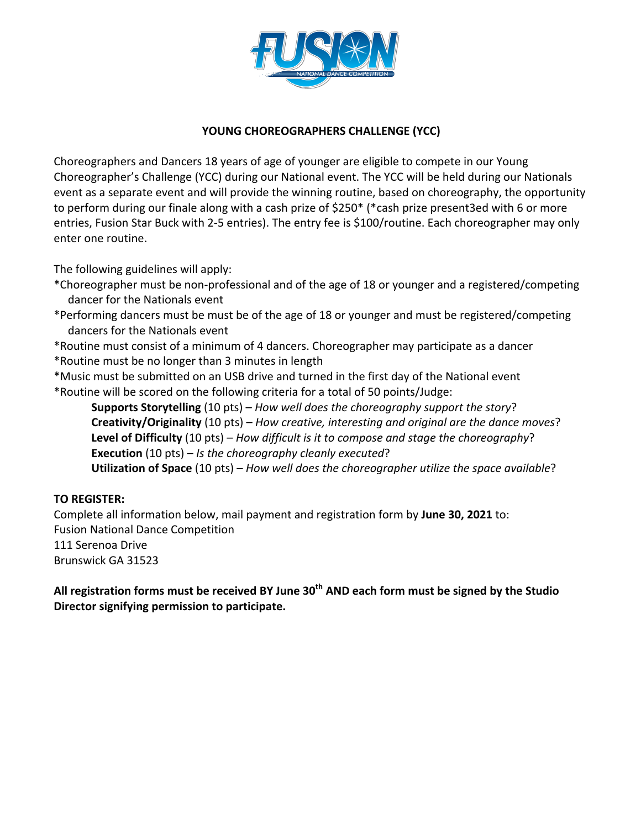

## YOUNG CHOREOGRAPHERS CHALLENGE (YCC)

Choreographers and Dancers 18 years of age of younger are eligible to compete in our Young Choreographer's Challenge (YCC) during our National event. The YCC will be held during our Nationals event as a separate event and will provide the winning routine, based on choreography, the opportunity to perform during our finale along with a cash prize of  $$250*$  (\*cash prize present3ed with 6 or more entries, Fusion Star Buck with 2-5 entries). The entry fee is \$100/routine. Each choreographer may only enter one routine.

The following guidelines will apply:

- \*Choreographer must be non-professional and of the age of 18 or younger and a registered/competing dancer for the Nationals event
- \*Performing dancers must be must be of the age of 18 or younger and must be registered/competing dancers for the Nationals event

\* Routine must consist of a minimum of 4 dancers. Choreographer may participate as a dancer

- \*Routine must be no longer than 3 minutes in length
- \*Music must be submitted on an USB drive and turned in the first day of the National event \*Routine will be scored on the following criteria for a total of 50 points/Judge:

**Supports Storytelling** (10 pts) – *How well does the choreography support the story*? **Creativity/Originality** (10 pts) – *How creative, interesting and original are the dance moves?* **Level of Difficulty** (10 pts) – *How difficult is it to compose and stage the choreography*? **Execution** (10 pts) – *Is the choreography cleanly executed*? **Utilization of Space** (10 pts) – *How well does the choreographer utilize the space available?* 

## **TO REGISTER:**

Complete all information below, mail payment and registration form by June 30, 2021 to: Fusion National Dance Competition 111 Serenoa Drive Brunswick GA 31523

All registration forms must be received BY June 30<sup>th</sup> AND each form must be signed by the Studio **Director signifying permission to participate.**